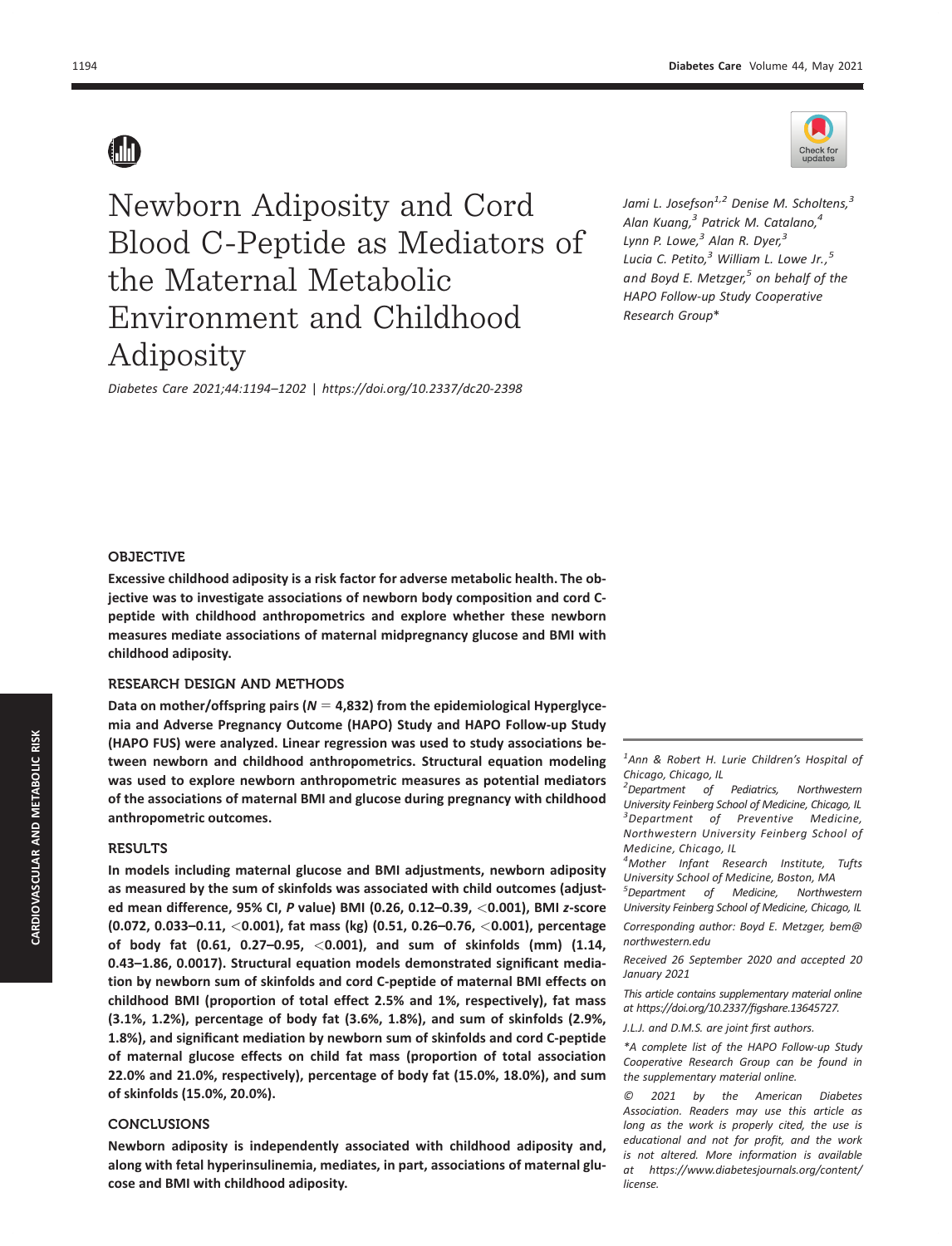

Newborn Adiposity and Cord Blood C-Peptide as Mediators of the Maternal Metabolic Environment and Childhood Adiposity

Diabetes Care 2021;44:1194–1202 | https://doi.org/10.2337/dc20-2398

Jami L. Josefson<sup>1,2</sup> Denise M. Scholtens,<sup>3</sup> Alan Kuang, $3$  Patrick M. Catalano, $4$ Lynn P. Lowe, $<sup>3</sup>$  Alan R. Dyer, $<sup>3</sup>$ </sup></sup> Lucia C. Petito, $3$  William L. Lowe Jr.,  $5$ and Boyd E. Metzger, $5$  on behalf of the HAPO Follow-up Study Cooperative Research Group\*

# **OBJECTIVE**

Excessive childhood adiposity is a risk factor for adverse metabolic health. The objective was to investigate associations of newborn body composition and cord Cpeptide with childhood anthropometrics and explore whether these newborn measures mediate associations of maternal midpregnancy glucose and BMI with childhood adiposity.

# RESEARCH DESIGN AND METHODS

Data on mother/offspring pairs ( $N = 4,832$ ) from the epidemiological Hyperglycemia and Adverse Pregnancy Outcome (HAPO) Study and HAPO Follow-up Study (HAPO FUS) were analyzed. Linear regression was used to study associations between newborn and childhood anthropometrics. Structural equation modeling was used to explore newborn anthropometric measures as potential mediators of the associations of maternal BMI and glucose during pregnancy with childhood anthropometric outcomes.

## RESULTS

In models including maternal glucose and BMI adjustments, newborn adiposity as measured by the sum of skinfolds was associated with child outcomes (adjusted mean difference, 95% CI, P value) BMI (0.26, 0.12–0.39, <0.001), BMI z-score (0.072, 0.033–0.11, <0.001), fat mass (kg) (0.51, 0.26–0.76, <0.001), percentage of body fat (0.61, 0.27–0.95, <0.001), and sum of skinfolds (mm) (1.14, 0.43–1.86, 0.0017). Structural equation models demonstrated significant mediation by newborn sum of skinfolds and cord C-peptide of maternal BMI effects on childhood BMI (proportion of total effect 2.5% and 1%, respectively), fat mass (3.1%, 1.2%), percentage of body fat (3.6%, 1.8%), and sum of skinfolds (2.9%, 1.8%), and significant mediation by newborn sum of skinfolds and cord C-peptide of maternal glucose effects on child fat mass (proportion of total association 22.0% and 21.0%, respectively), percentage of body fat (15.0%, 18.0%), and sum of skinfolds (15.0%, 20.0%).

#### CONCLUSIONS

Newborn adiposity is independently associated with childhood adiposity and, along with fetal hyperinsulinemia, mediates, in part, associations of maternal glucose and BMI with childhood adiposity.

<sup>1</sup> Ann & Robert H. Lurie Children's Hospital of Chicago, Chicago, IL

<sup>2</sup>Department of Pediatrics, Northwestern University Feinberg School of Medicine, Chicago, IL <sup>3</sup>Department of Preventive Medicine, Northwestern University Feinberg School of Medicine, Chicago, IL

4 Mother Infant Research Institute, Tufts University School of Medicine, Boston, MA

5 Department of Medicine, Northwestern University Feinberg School of Medicine, Chicago, IL Corresponding author: Boyd E. Metzger, [bem@](mailto:bem@northwestern.edu) [northwestern.edu](mailto:bem@northwestern.edu)

Received 26 September 2020 and accepted 20 January 2021

This article contains supplementary material online at [https://doi.org/10.2337/](https://doi.org/10.2337/figshare.13645727)figshare.13645727.

J.L.J. and D.M.S. are joint first authors.

\*A complete list of the HAPO Follow-up Study Cooperative Research Group can be found in the supplementary material online.

© 2021 by the American Diabetes Association. Readers may use this article as long as the work is properly cited, the use is educational and not for profit, and the work is not altered. More information is available at [https://www.diabetesjournals.org/content/](https://www.diabetesjournals.org/content/license) [license](https://www.diabetesjournals.org/content/license).

**AD**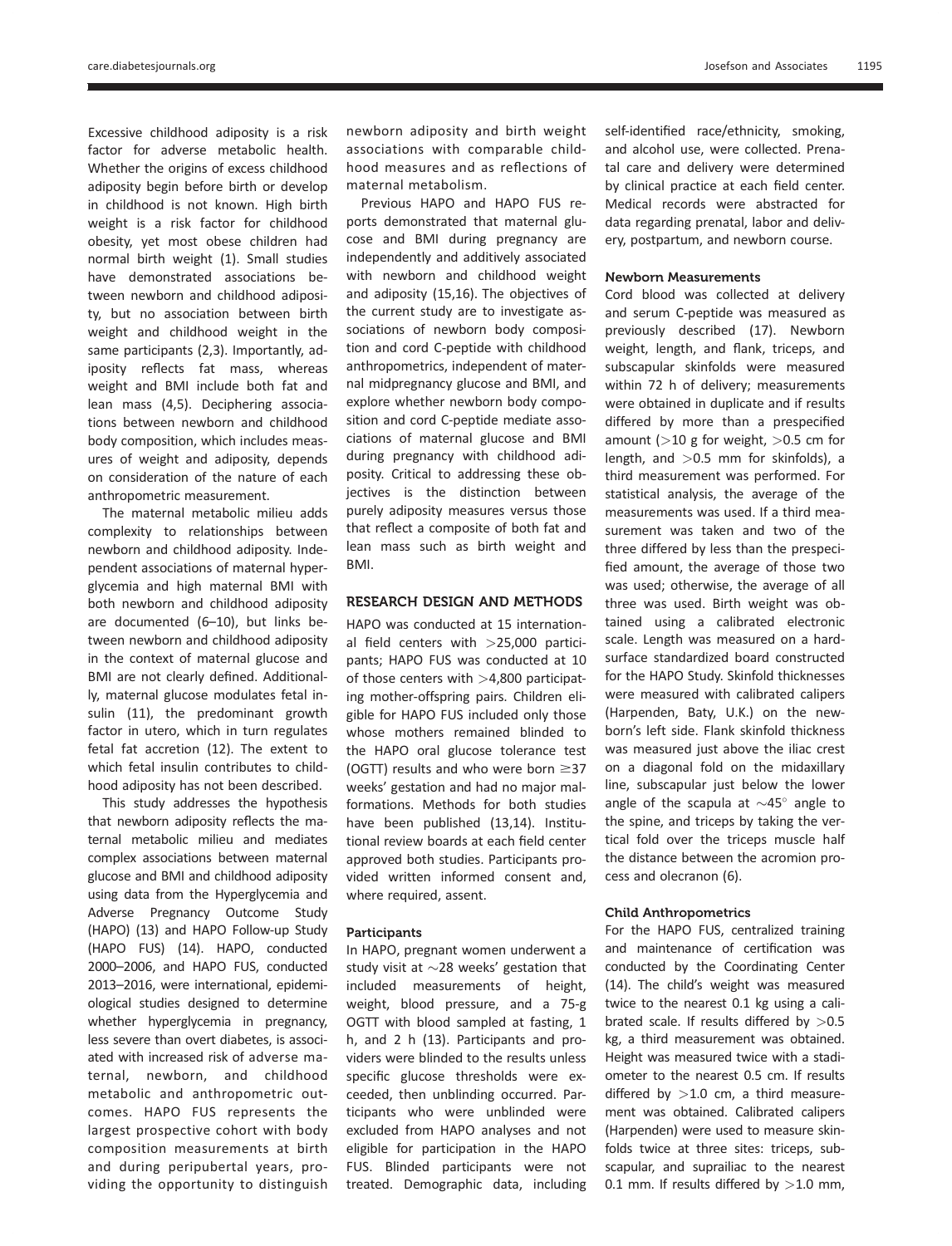Excessive childhood adiposity is a risk factor for adverse metabolic health. Whether the origins of excess childhood adiposity begin before birth or develop in childhood is not known. High birth weight is a risk factor for childhood obesity, yet most obese children had normal birth weight (1). Small studies have demonstrated associations between newborn and childhood adiposity, but no association between birth weight and childhood weight in the same participants (2,3). Importantly, adiposity reflects fat mass, whereas weight and BMI include both fat and lean mass (4,5). Deciphering associations between newborn and childhood body composition, which includes measures of weight and adiposity, depends on consideration of the nature of each anthropometric measurement.

The maternal metabolic milieu adds complexity to relationships between newborn and childhood adiposity. Independent associations of maternal hyperglycemia and high maternal BMI with both newborn and childhood adiposity are documented (6–10), but links between newborn and childhood adiposity in the context of maternal glucose and BMI are not clearly defined. Additionally, maternal glucose modulates fetal insulin (11), the predominant growth factor in utero, which in turn regulates fetal fat accretion (12). The extent to which fetal insulin contributes to childhood adiposity has not been described.

This study addresses the hypothesis that newborn adiposity reflects the maternal metabolic milieu and mediates complex associations between maternal glucose and BMI and childhood adiposity using data from the Hyperglycemia and Adverse Pregnancy Outcome Study (HAPO) (13) and HAPO Follow-up Study (HAPO FUS) (14). HAPO, conducted 2000–2006, and HAPO FUS, conducted 2013–2016, were international, epidemiological studies designed to determine whether hyperglycemia in pregnancy, less severe than overt diabetes, is associated with increased risk of adverse maternal, newborn, and childhood metabolic and anthropometric outcomes. HAPO FUS represents the largest prospective cohort with body composition measurements at birth and during peripubertal years, providing the opportunity to distinguish newborn adiposity and birth weight associations with comparable childhood measures and as reflections of maternal metabolism.

Previous HAPO and HAPO FUS reports demonstrated that maternal glucose and BMI during pregnancy are independently and additively associated with newborn and childhood weight and adiposity (15,16). The objectives of the current study are to investigate associations of newborn body composition and cord C-peptide with childhood anthropometrics, independent of maternal midpregnancy glucose and BMI, and explore whether newborn body composition and cord C-peptide mediate associations of maternal glucose and BMI during pregnancy with childhood adiposity. Critical to addressing these objectives is the distinction between purely adiposity measures versus those that reflect a composite of both fat and lean mass such as birth weight and BMI.

# RESEARCH DESIGN AND METHODS

HAPO was conducted at 15 international field centers with  $>25,000$  participants; HAPO FUS was conducted at 10 of those centers with  $>4,800$  participating mother-offspring pairs. Children eligible for HAPO FUS included only those whose mothers remained blinded to the HAPO oral glucose tolerance test (OGTT) results and who were born  $\geq$ 37 weeks' gestation and had no major malformations. Methods for both studies have been published (13,14). Institutional review boards at each field center approved both studies. Participants provided written informed consent and, where required, assent.

## **Participants**

In HAPO, pregnant women underwent a study visit at  $\sim$ 28 weeks' gestation that included measurements of height, weight, blood pressure, and a 75-g OGTT with blood sampled at fasting, 1 h, and 2 h (13). Participants and providers were blinded to the results unless specific glucose thresholds were exceeded, then unblinding occurred. Participants who were unblinded were excluded from HAPO analyses and not eligible for participation in the HAPO FUS. Blinded participants were not treated. Demographic data, including

self-identified race/ethnicity, smoking, and alcohol use, were collected. Prenatal care and delivery were determined by clinical practice at each field center. Medical records were abstracted for data regarding prenatal, labor and delivery, postpartum, and newborn course.

#### Newborn Measurements

Cord blood was collected at delivery and serum C-peptide was measured as previously described (17). Newborn weight, length, and flank, triceps, and subscapular skinfolds were measured within 72 h of delivery; measurements were obtained in duplicate and if results differed by more than a prespecified amount ( $>10$  g for weight,  $>0.5$  cm for length, and  $>0.5$  mm for skinfolds), a third measurement was performed. For statistical analysis, the average of the measurements was used. If a third measurement was taken and two of the three differed by less than the prespecified amount, the average of those two was used; otherwise, the average of all three was used. Birth weight was obtained using a calibrated electronic scale. Length was measured on a hardsurface standardized board constructed for the HAPO Study. Skinfold thicknesses were measured with calibrated calipers (Harpenden, Baty, U.K.) on the newborn's left side. Flank skinfold thickness was measured just above the iliac crest on a diagonal fold on the midaxillary line, subscapular just below the lower angle of the scapula at  $\sim$ 45 $^{\circ}$  angle to the spine, and triceps by taking the vertical fold over the triceps muscle half the distance between the acromion process and olecranon (6).

#### Child Anthropometrics

For the HAPO FUS, centralized training and maintenance of certification was conducted by the Coordinating Center (14). The child's weight was measured twice to the nearest 0.1 kg using a calibrated scale. If results differed by  $>0.5$ kg, a third measurement was obtained. Height was measured twice with a stadiometer to the nearest 0.5 cm. If results differed by  $>1.0$  cm, a third measurement was obtained. Calibrated calipers (Harpenden) were used to measure skinfolds twice at three sites: triceps, subscapular, and suprailiac to the nearest 0.1 mm. If results differed by  $>$ 1.0 mm,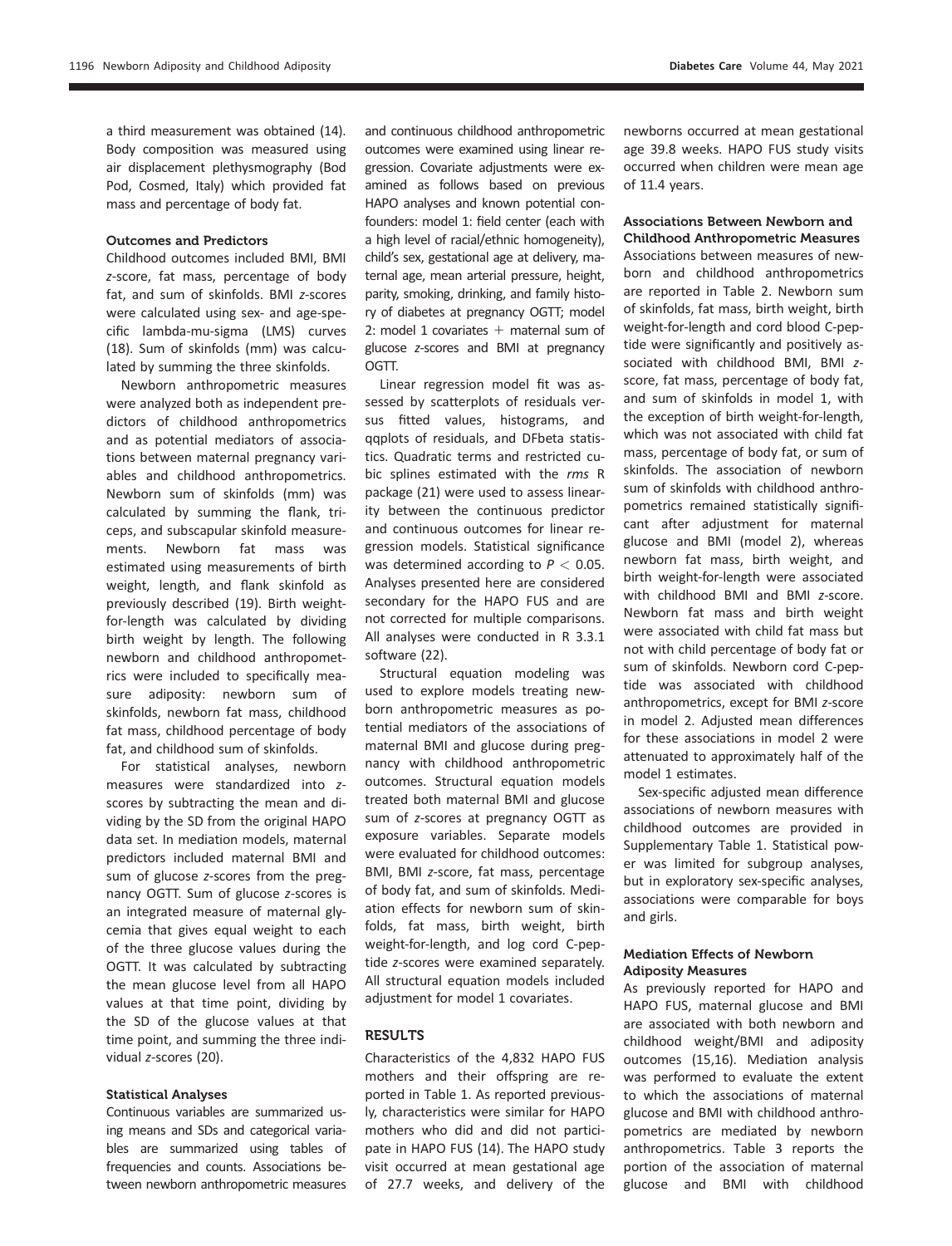a third measurement was obtained (14). Body composition was measured using air displacement plethysmography (Bod Pod, Cosmed, Italy) which provided fat mass and percentage of body fat.

## Outcomes and Predictors

Childhood outcomes included BMI, BMI z-score, fat mass, percentage of body fat, and sum of skinfolds. BMI z-scores were calculated using sex- and age-specific lambda-mu-sigma (LMS) curves (18). Sum of skinfolds (mm) was calculated by summing the three skinfolds.

Newborn anthropometric measures were analyzed both as independent predictors of childhood anthropometrics and as potential mediators of associations between maternal pregnancy variables and childhood anthropometrics. Newborn sum of skinfolds (mm) was calculated by summing the flank, triceps, and subscapular skinfold measurements. Newborn fat mass was estimated using measurements of birth weight, length, and flank skinfold as previously described (19). Birth weightfor-length was calculated by dividing birth weight by length. The following newborn and childhood anthropometrics were included to specifically measure adiposity: newborn sum of skinfolds, newborn fat mass, childhood fat mass, childhood percentage of body fat, and childhood sum of skinfolds.

For statistical analyses, newborn measures were standardized into zscores by subtracting the mean and dividing by the SD from the original HAPO data set. In mediation models, maternal predictors included maternal BMI and sum of glucose z-scores from the pregnancy OGTT. Sum of glucose z-scores is an integrated measure of maternal glycemia that gives equal weight to each of the three glucose values during the OGTT. It was calculated by subtracting the mean glucose level from all HAPO values at that time point, dividing by the SD of the glucose values at that time point, and summing the three individual z-scores (20).

# Statistical Analyses

Continuous variables are summarized using means and SDs and categorical variables are summarized using tables of frequencies and counts. Associations between newborn anthropometric measures and continuous childhood anthropometric outcomes were examined using linear regression. Covariate adjustments were examined as follows based on previous HAPO analyses and known potential confounders: model 1: field center (each with a high level of racial/ethnic homogeneity), child's sex, gestational age at delivery, maternal age, mean arterial pressure, height, parity, smoking, drinking, and family history of diabetes at pregnancy OGTT; model 2: model 1 covariates  $+$  maternal sum of glucose z-scores and BMI at pregnancy OGTT.

Linear regression model fit was assessed by scatterplots of residuals versus fitted values, histograms, and qqplots of residuals, and DFbeta statistics. Quadratic terms and restricted cubic splines estimated with the rms R package (21) were used to assess linearity between the continuous predictor and continuous outcomes for linear regression models. Statistical significance was determined according to  $P < 0.05$ . Analyses presented here are considered secondary for the HAPO FUS and are not corrected for multiple comparisons. All analyses were conducted in R 3.3.1 software (22).

Structural equation modeling was used to explore models treating newborn anthropometric measures as potential mediators of the associations of maternal BMI and glucose during pregnancy with childhood anthropometric outcomes. Structural equation models treated both maternal BMI and glucose sum of z-scores at pregnancy OGTT as exposure variables. Separate models were evaluated for childhood outcomes: BMI, BMI z-score, fat mass, percentage of body fat, and sum of skinfolds. Mediation effects for newborn sum of skinfolds, fat mass, birth weight, birth weight-for-length, and log cord C-peptide z-scores were examined separately. All structural equation models included adjustment for model 1 covariates.

# **RESULTS**

Characteristics of the 4,832 HAPO FUS mothers and their offspring are reported in Table 1. As reported previously, characteristics were similar for HAPO mothers who did and did not participate in HAPO FUS (14). The HAPO study visit occurred at mean gestational age of 27.7 weeks, and delivery of the newborns occurred at mean gestational age 39.8 weeks. HAPO FUS study visits occurred when children were mean age of 11.4 years.

## Associations Between Newborn and Childhood Anthropometric Measures

Associations between measures of newborn and childhood anthropometrics are reported in Table 2. Newborn sum of skinfolds, fat mass, birth weight, birth weight-for-length and cord blood C-peptide were significantly and positively associated with childhood BMI, BMI zscore, fat mass, percentage of body fat, and sum of skinfolds in model 1, with the exception of birth weight-for-length, which was not associated with child fat mass, percentage of body fat, or sum of skinfolds. The association of newborn sum of skinfolds with childhood anthropometrics remained statistically significant after adjustment for maternal glucose and BMI (model 2), whereas newborn fat mass, birth weight, and birth weight-for-length were associated with childhood BMI and BMI z-score. Newborn fat mass and birth weight were associated with child fat mass but not with child percentage of body fat or sum of skinfolds. Newborn cord C-peptide was associated with childhood anthropometrics, except for BMI z-score in model 2. Adjusted mean differences for these associations in model 2 were attenuated to approximately half of the model 1 estimates.

Sex-specific adjusted mean difference associations of newborn measures with childhood outcomes are provided in [Supplementary Table 1](https://doi.org/10.2337/figshare.13645727). Statistical power was limited for subgroup analyses, but in exploratory sex-specific analyses, associations were comparable for boys and girls.

# Mediation Effects of Newborn Adiposity Measures

As previously reported for HAPO and HAPO FUS, maternal glucose and BMI are associated with both newborn and childhood weight/BMI and adiposity outcomes (15,16). Mediation analysis was performed to evaluate the extent to which the associations of maternal glucose and BMI with childhood anthropometrics are mediated by newborn anthropometrics. Table 3 reports the portion of the association of maternal glucose and BMI with childhood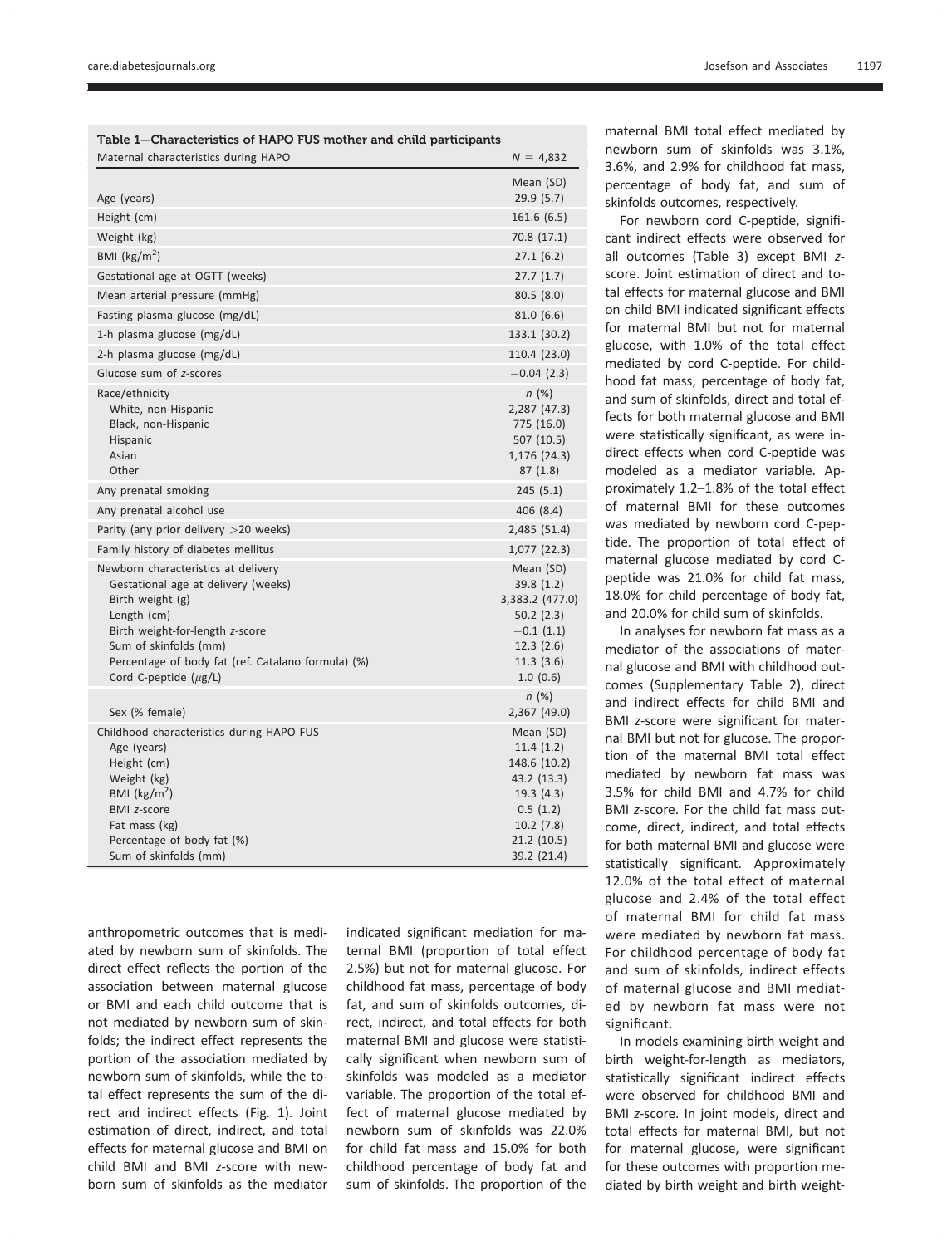| Table 1—Characteristics of HAPO FUS mother and child participants                                                                                                                                                                                             |                                                                                                                           |  |  |  |  |
|---------------------------------------------------------------------------------------------------------------------------------------------------------------------------------------------------------------------------------------------------------------|---------------------------------------------------------------------------------------------------------------------------|--|--|--|--|
| Maternal characteristics during HAPO                                                                                                                                                                                                                          | $N = 4,832$                                                                                                               |  |  |  |  |
|                                                                                                                                                                                                                                                               | Mean (SD)                                                                                                                 |  |  |  |  |
| Age (years)                                                                                                                                                                                                                                                   | 29.9(5.7)                                                                                                                 |  |  |  |  |
| Height (cm)                                                                                                                                                                                                                                                   | 161.6 (6.5)                                                                                                               |  |  |  |  |
| Weight (kg)                                                                                                                                                                                                                                                   | 70.8 (17.1)                                                                                                               |  |  |  |  |
| BMI ( $\text{kg/m}^2$ )                                                                                                                                                                                                                                       | 27.1(6.2)                                                                                                                 |  |  |  |  |
| Gestational age at OGTT (weeks)                                                                                                                                                                                                                               | 27.7(1.7)                                                                                                                 |  |  |  |  |
| Mean arterial pressure (mmHg)                                                                                                                                                                                                                                 | 80.5(8.0)                                                                                                                 |  |  |  |  |
| Fasting plasma glucose (mg/dL)                                                                                                                                                                                                                                | 81.0(6.6)                                                                                                                 |  |  |  |  |
| 1-h plasma glucose (mg/dL)                                                                                                                                                                                                                                    | 133.1 (30.2)                                                                                                              |  |  |  |  |
| 2-h plasma glucose (mg/dL)                                                                                                                                                                                                                                    | 110.4 (23.0)                                                                                                              |  |  |  |  |
| Glucose sum of z-scores                                                                                                                                                                                                                                       | $-0.04(2.3)$                                                                                                              |  |  |  |  |
| Race/ethnicity<br>White, non-Hispanic<br>Black, non-Hispanic<br>Hispanic<br>Asian<br>Other                                                                                                                                                                    | n(%)<br>2,287 (47.3)<br>775 (16.0)<br>507 (10.5)<br>1,176 (24.3)<br>87(1.8)                                               |  |  |  |  |
| Any prenatal smoking                                                                                                                                                                                                                                          | 245(5.1)                                                                                                                  |  |  |  |  |
| Any prenatal alcohol use                                                                                                                                                                                                                                      | 406 (8.4)                                                                                                                 |  |  |  |  |
| Parity (any prior delivery $>$ 20 weeks)                                                                                                                                                                                                                      | 2,485 (51.4)                                                                                                              |  |  |  |  |
| Family history of diabetes mellitus                                                                                                                                                                                                                           | 1,077 (22.3)                                                                                                              |  |  |  |  |
| Newborn characteristics at delivery<br>Gestational age at delivery (weeks)<br>Birth weight (g)<br>Length (cm)<br>Birth weight-for-length z-score<br>Sum of skinfolds (mm)<br>Percentage of body fat (ref. Catalano formula) (%)<br>Cord C-peptide $(\mu g/L)$ | Mean (SD)<br>39.8(1.2)<br>3,383.2 (477.0)<br>50.2(2.3)<br>$-0.1(1.1)$<br>12.3(2.6)<br>11.3(3.6)<br>1.0(0.6)               |  |  |  |  |
| Sex (% female)                                                                                                                                                                                                                                                | n (%)<br>2,367 (49.0)                                                                                                     |  |  |  |  |
| Childhood characteristics during HAPO FUS<br>Age (years)<br>Height (cm)<br>Weight (kg)<br>BMI ( $\text{kg/m}^2$ )<br><b>BMI z-score</b><br>Fat mass (kg)<br>Percentage of body fat (%)<br>Sum of skinfolds (mm)                                               | Mean (SD)<br>11.4(1.2)<br>148.6 (10.2)<br>43.2 (13.3)<br>19.3(4.3)<br>0.5(1.2)<br>10.2(7.8)<br>21.2 (10.5)<br>39.2 (21.4) |  |  |  |  |

anthropometric outcomes that is mediated by newborn sum of skinfolds. The direct effect reflects the portion of the association between maternal glucose or BMI and each child outcome that is not mediated by newborn sum of skinfolds; the indirect effect represents the portion of the association mediated by newborn sum of skinfolds, while the total effect represents the sum of the direct and indirect effects (Fig. 1). Joint estimation of direct, indirect, and total effects for maternal glucose and BMI on child BMI and BMI z-score with newborn sum of skinfolds as the mediator

indicated significant mediation for maternal BMI (proportion of total effect 2.5%) but not for maternal glucose. For childhood fat mass, percentage of body fat, and sum of skinfolds outcomes, direct, indirect, and total effects for both maternal BMI and glucose were statistically significant when newborn sum of skinfolds was modeled as a mediator variable. The proportion of the total effect of maternal glucose mediated by newborn sum of skinfolds was 22.0% for child fat mass and 15.0% for both childhood percentage of body fat and sum of skinfolds. The proportion of the

maternal BMI total effect mediated by newborn sum of skinfolds was 3.1%, 3.6%, and 2.9% for childhood fat mass, percentage of body fat, and sum of skinfolds outcomes, respectively.

For newborn cord C-peptide, significant indirect effects were observed for all outcomes (Table 3) except BMI zscore. Joint estimation of direct and total effects for maternal glucose and BMI on child BMI indicated significant effects for maternal BMI but not for maternal glucose, with 1.0% of the total effect mediated by cord C-peptide. For childhood fat mass, percentage of body fat, and sum of skinfolds, direct and total effects for both maternal glucose and BMI were statistically significant, as were indirect effects when cord C-peptide was modeled as a mediator variable. Approximately 1.2–1.8% of the total effect of maternal BMI for these outcomes was mediated by newborn cord C-peptide. The proportion of total effect of maternal glucose mediated by cord Cpeptide was 21.0% for child fat mass, 18.0% for child percentage of body fat, and 20.0% for child sum of skinfolds.

In analyses for newborn fat mass as a mediator of the associations of maternal glucose and BMI with childhood outcomes [\(Supplementary Table 2](https://doi.org/10.2337/figshare.13645727)), direct and indirect effects for child BMI and BMI z-score were significant for maternal BMI but not for glucose. The proportion of the maternal BMI total effect mediated by newborn fat mass was 3.5% for child BMI and 4.7% for child BMI z-score. For the child fat mass outcome, direct, indirect, and total effects for both maternal BMI and glucose were statistically significant. Approximately 12.0% of the total effect of maternal glucose and 2.4% of the total effect of maternal BMI for child fat mass were mediated by newborn fat mass. For childhood percentage of body fat and sum of skinfolds, indirect effects of maternal glucose and BMI mediated by newborn fat mass were not significant.

In models examining birth weight and birth weight-for-length as mediators, statistically significant indirect effects were observed for childhood BMI and BMI z-score. In joint models, direct and total effects for maternal BMI, but not for maternal glucose, were significant for these outcomes with proportion mediated by birth weight and birth weight-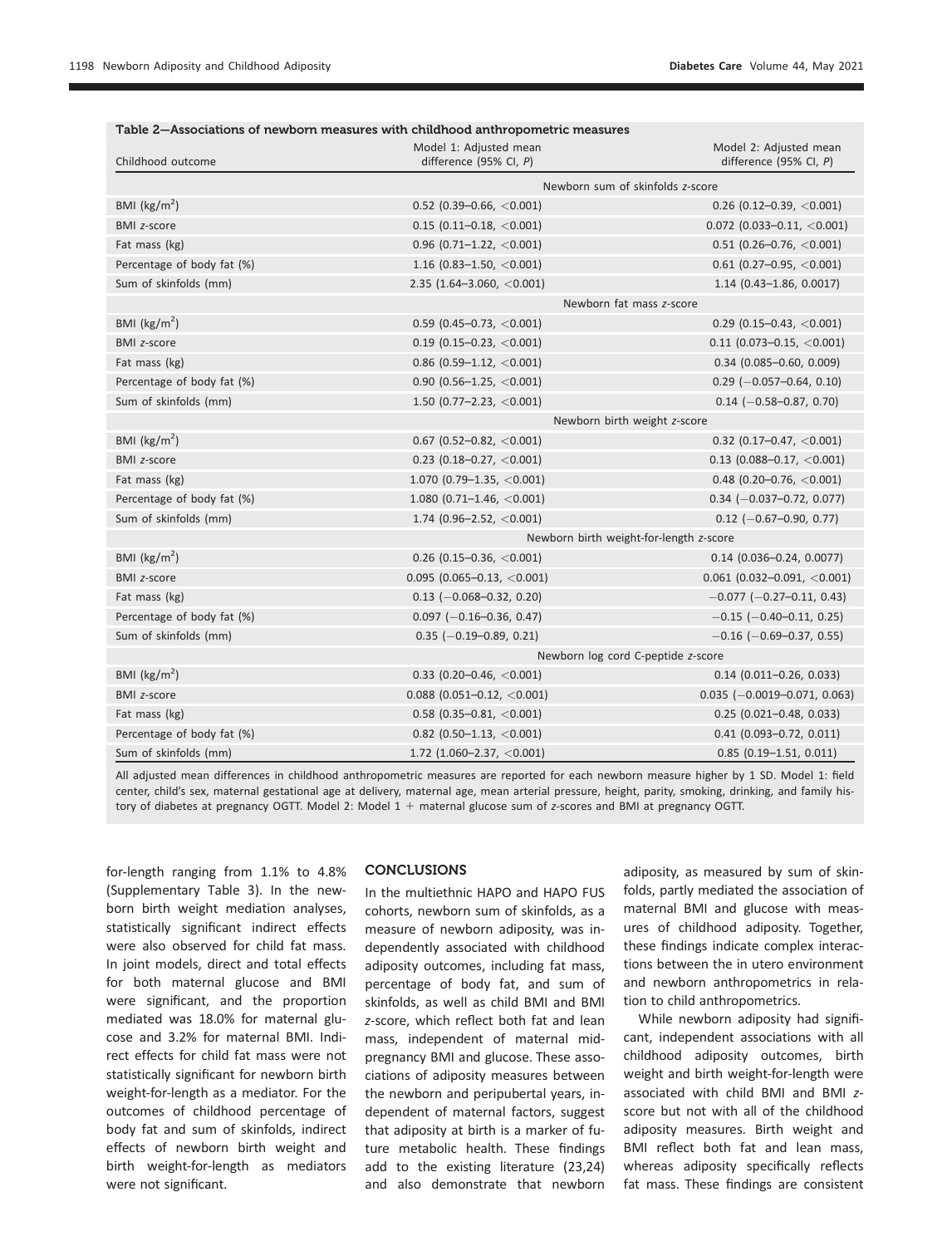| Childhood outcome          | Model 1: Adjusted mean<br>difference (95% CI, P)               | Model 2: Adjusted mean<br>difference (95% CI, $P$ ) |  |  |
|----------------------------|----------------------------------------------------------------|-----------------------------------------------------|--|--|
|                            | Newborn sum of skinfolds z-score                               |                                                     |  |  |
| BMI ( $\text{kg/m}^2$ )    | $0.52$ (0.39-0.66, <0.001)<br>$0.26$ (0.12-0.39, <0.001)       |                                                     |  |  |
| <b>BMI z-score</b>         | $0.15$ (0.11-0.18, <0.001)<br>$0.072$ (0.033-0.11, <0.001)     |                                                     |  |  |
| Fat mass (kg)              | $0.96$ (0.71-1.22, <0.001)<br>$0.51$ (0.26-0.76, <0.001)       |                                                     |  |  |
| Percentage of body fat (%) | 1.16 (0.83-1.50, $<$ 0.001)<br>$0.61$ (0.27-0.95, <0.001)      |                                                     |  |  |
| Sum of skinfolds (mm)      | 2.35 (1.64-3.060, $<$ 0.001)<br>$1.14$ (0.43-1.86, 0.0017)     |                                                     |  |  |
|                            | Newborn fat mass z-score                                       |                                                     |  |  |
| BMI ( $\text{kg/m}^2$ )    | $0.59$ (0.45-0.73, <0.001)                                     | $0.29$ (0.15-0.43, <0.001)                          |  |  |
| <b>BMI z-score</b>         | $0.19$ (0.15-0.23, <0.001)                                     | $0.11$ (0.073-0.15, <0.001)                         |  |  |
| Fat mass (kg)              | $0.86$ (0.59-1.12, <0.001)                                     | $0.34$ (0.085-0.60, 0.009)                          |  |  |
| Percentage of body fat (%) | $0.90$ (0.56-1.25, <0.001)                                     | $0.29$ (-0.057-0.64, 0.10)                          |  |  |
| Sum of skinfolds (mm)      | 1.50 (0.77-2.23, $<$ 0.001)                                    | $0.14$ (-0.58-0.87, 0.70)                           |  |  |
|                            | Newborn birth weight z-score                                   |                                                     |  |  |
| BMI ( $\text{kg/m}^2$ )    | $0.67$ (0.52-0.82, <0.001)                                     | 0.32 (0.17-0.47, $<$ 0.001)                         |  |  |
| <b>BMI z-score</b>         | $0.23$ (0.18-0.27, <0.001)                                     | $0.13$ (0.088-0.17, <0.001)                         |  |  |
| Fat mass (kg)              | 1.070 (0.79-1.35, $<$ 0.001)                                   | 0.48 (0.20-0.76, $<$ 0.001)                         |  |  |
| Percentage of body fat (%) | 1.080 (0.71-1.46, $<$ 0.001)<br>$0.34$ (-0.037-0.72, 0.077)    |                                                     |  |  |
| Sum of skinfolds (mm)      | 1.74 (0.96-2.52, $<$ 0.001)                                    | $0.12$ (-0.67-0.90, 0.77)                           |  |  |
|                            | Newborn birth weight-for-length z-score                        |                                                     |  |  |
| BMI ( $\text{kg/m}^2$ )    | $0.26$ (0.15-0.36, <0.001)                                     | $0.14$ (0.036-0.24, 0.0077)                         |  |  |
| <b>BMI z-score</b>         | $0.095$ (0.065-0.13, <0.001)                                   | $0.061$ (0.032-0.091, <0.001)                       |  |  |
| Fat mass (kg)              | $0.13$ (-0.068-0.32, 0.20)                                     | $-0.077$ ( $-0.27-0.11$ , 0.43)                     |  |  |
| Percentage of body fat (%) | $0.097$ (-0.16-0.36, 0.47)                                     | $-0.15$ ( $-0.40$ $-0.11$ , 0.25)                   |  |  |
| Sum of skinfolds (mm)      | $0.35$ (-0.19-0.89, 0.21)                                      | $-0.16$ ( $-0.69 - 0.37$ , 0.55)                    |  |  |
|                            | Newborn log cord C-peptide z-score                             |                                                     |  |  |
| BMI ( $\text{kg/m}^2$ )    | $0.33$ (0.20–0.46, <0.001)                                     | $0.14$ (0.011-0.26, 0.033)                          |  |  |
| <b>BMI z-score</b>         | $0.088$ (0.051-0.12, <0.001)<br>$0.035$ (-0.0019-0.071, 0.063) |                                                     |  |  |
| Fat mass (kg)              | $0.58$ (0.35-0.81, <0.001)<br>$0.25$ (0.021-0.48, 0.033)       |                                                     |  |  |
| Percentage of body fat (%) | $0.82$ (0.50-1.13, <0.001)<br>$0.41$ (0.093-0.72, 0.011)       |                                                     |  |  |
| Sum of skinfolds (mm)      | 1.72 (1.060-2.37, $<$ 0.001)                                   | $0.85$ (0.19-1.51, 0.011)                           |  |  |

All adjusted mean differences in childhood anthropometric measures are reported for each newborn measure higher by 1 SD. Model 1: field center, child's sex, maternal gestational age at delivery, maternal age, mean arterial pressure, height, parity, smoking, drinking, and family history of diabetes at pregnancy OGTT. Model 2: Model  $1 +$  maternal glucose sum of z-scores and BMI at pregnancy OGTT.

for-length ranging from 1.1% to 4.8% [\(Supplementary Table 3\)](https://doi.org/10.2337/figshare.13645727). In the newborn birth weight mediation analyses, statistically significant indirect effects were also observed for child fat mass. In joint models, direct and total effects for both maternal glucose and BMI were significant, and the proportion mediated was 18.0% for maternal glucose and 3.2% for maternal BMI. Indirect effects for child fat mass were not statistically significant for newborn birth weight-for-length as a mediator. For the outcomes of childhood percentage of body fat and sum of skinfolds, indirect effects of newborn birth weight and birth weight-for-length as mediators were not significant.

#### CONCLUSIONS

In the multiethnic HAPO and HAPO FUS cohorts, newborn sum of skinfolds, as a measure of newborn adiposity, was independently associated with childhood adiposity outcomes, including fat mass, percentage of body fat, and sum of skinfolds, as well as child BMI and BMI z-score, which reflect both fat and lean mass, independent of maternal midpregnancy BMI and glucose. These associations of adiposity measures between the newborn and peripubertal years, independent of maternal factors, suggest that adiposity at birth is a marker of future metabolic health. These findings add to the existing literature (23,24) and also demonstrate that newborn

adiposity, as measured by sum of skinfolds, partly mediated the association of maternal BMI and glucose with measures of childhood adiposity. Together, these findings indicate complex interactions between the in utero environment and newborn anthropometrics in relation to child anthropometrics.

While newborn adiposity had significant, independent associations with all childhood adiposity outcomes, birth weight and birth weight-for-length were associated with child BMI and BMI zscore but not with all of the childhood adiposity measures. Birth weight and BMI reflect both fat and lean mass, whereas adiposity specifically reflects fat mass. These findings are consistent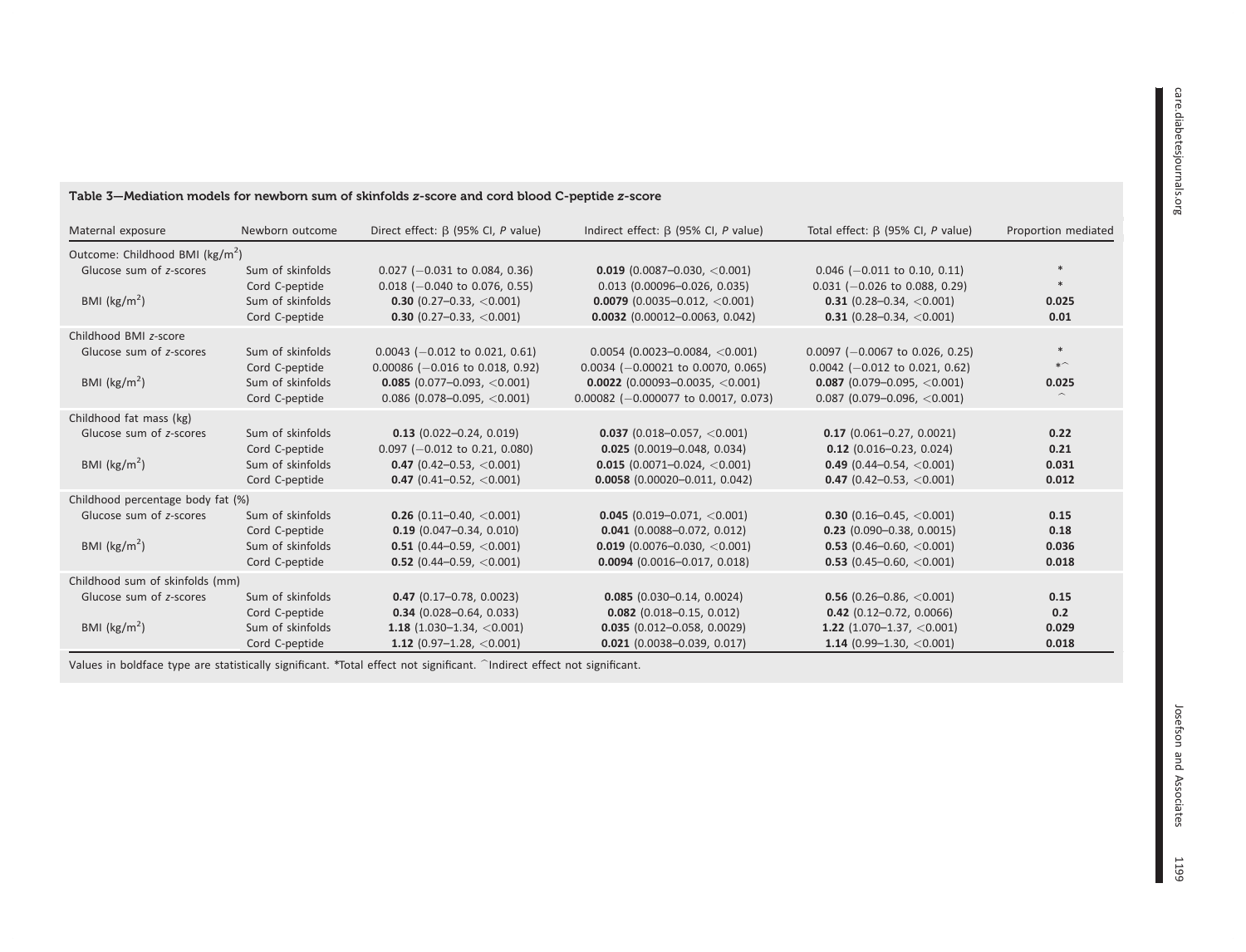#### Table 3—Mediation models for newborn sum of skinfolds <sup>z</sup>-score and cord blood C-peptide <sup>z</sup>-score

| Maternal exposure                                                                       | Newborn outcome                                                          | Direct effect: $\beta$ (95% CI, P value)                                                                                                | Indirect effect: $\beta$ (95% CI, P value)                                                                                                              | Total effect: $\beta$ (95% CI, P value)                                                                                                                          | Proportion mediated            |  |  |
|-----------------------------------------------------------------------------------------|--------------------------------------------------------------------------|-----------------------------------------------------------------------------------------------------------------------------------------|---------------------------------------------------------------------------------------------------------------------------------------------------------|------------------------------------------------------------------------------------------------------------------------------------------------------------------|--------------------------------|--|--|
| Outcome: Childhood BMI (kg/m <sup>2</sup> )                                             |                                                                          |                                                                                                                                         |                                                                                                                                                         |                                                                                                                                                                  |                                |  |  |
| Glucose sum of z-scores<br>BMI $(kg/m2)$                                                | Sum of skinfolds<br>Cord C-peptide<br>Sum of skinfolds<br>Cord C-peptide | $0.027$ (-0.031 to 0.084, 0.36)<br>$0.018$ (-0.040 to 0.076, 0.55)<br><b>0.30</b> (0.27-0.33, $<$ 0.001)<br>0.30 (0.27-0.33, $<$ 0.001) | $0.019$ (0.0087-0.030, <0.001)<br>$0.013$ (0.00096-0.026, 0.035)<br>$0.0079$ (0.0035-0.012, <0.001)<br>$0.0032$ (0.00012-0.0063, 0.042)                 | $0.046$ (-0.011 to 0.10, 0.11)<br>$0.031$ (-0.026 to 0.088, 0.29)<br>0.31 (0.28-0.34, $<$ 0.001)<br><b>0.31</b> (0.28-0.34, $\langle 0.001 \rangle$              | $\ast$<br>0.025<br>0.01        |  |  |
| Childhood BMI z-score<br>Glucose sum of z-scores<br>BMI $(kg/m2)$                       | Sum of skinfolds<br>Cord C-peptide<br>Sum of skinfolds<br>Cord C-peptide | $0.0043$ (-0.012 to 0.021, 0.61)<br>$0.00086$ (-0.016 to 0.018, 0.92)<br>$0.085$ (0.077-0.093, <0.001)<br>$0.086$ (0.078-0.095, <0.001) | $0.0054$ (0.0023-0.0084, <0.001)<br>$0.0034$ (-0.00021 to 0.0070, 0.065)<br>$0.0022$ (0.00093-0.0035, <0.001)<br>$0.00082$ (-0.000077 to 0.0017, 0.073) | $0.0097$ (-0.0067 to 0.026, 0.25)<br>$0.0042$ (-0.012 to 0.021, 0.62)<br>$0.087$ (0.079-0.095, <0.001)<br>$0.087$ (0.079-0.096, <0.001)                          | $\ast$<br>$*$<br>0.025         |  |  |
| Childhood fat mass (kg)<br>Glucose sum of z-scores<br>BMI ( $\text{kg/m}^2$ )           | Sum of skinfolds<br>Cord C-peptide<br>Sum of skinfolds<br>Cord C-peptide | $0.13$ (0.022-0.24, 0.019)<br>$0.097$ (-0.012 to 0.21, 0.080)<br>0.47 $(0.42 - 0.53, < 0.001)$<br>0.47 (0.41-0.52, $<$ 0.001)           | <b>0.037</b> (0.018-0.057, $<$ 0.001)<br>$0.025$ (0.0019-0.048, 0.034)<br>$0.015$ (0.0071-0.024, <0.001)<br>$0.0058$ (0.00020-0.011, 0.042)             | $0.17$ (0.061-0.27, 0.0021)<br>$0.12$ (0.016-0.23, 0.024)<br>0.49 $(0.44 - 0.54, < 0.001)$<br><b>0.47</b> (0.42–0.53, <0.001)                                    | 0.22<br>0.21<br>0.031<br>0.012 |  |  |
| Childhood percentage body fat (%)<br>Glucose sum of z-scores<br>BMI ( $\text{kg/m}^2$ ) | Sum of skinfolds<br>Cord C-peptide<br>Sum of skinfolds<br>Cord C-peptide | 0.26 (0.11-0.40, $<$ 0.001)<br>$0.19$ (0.047-0.34, 0.010)<br>0.51 (0.44-0.59, $<$ 0.001)<br><b>0.52</b> (0.44-0.59, $\langle$ 0.001)    | 0.045 (0.019-0.071, $<$ 0.001)<br>$0.041$ (0.0088-0.072, 0.012)<br>$0.019$ (0.0076-0.030, <0.001)<br>$0.0094$ (0.0016-0.017, 0.018)                     | <b>0.30</b> (0.16-0.45, $\langle 0.001 \rangle$<br>$0.23$ (0.090-0.38, 0.0015)<br><b>0.53</b> (0.46-0.60, $\langle 0.001 \rangle$<br>0.53 (0.45-0.60, $<$ 0.001) | 0.15<br>0.18<br>0.036<br>0.018 |  |  |
| Childhood sum of skinfolds (mm)<br>Glucose sum of z-scores<br>BMI $(kg/m2)$             | Sum of skinfolds<br>Cord C-peptide<br>Sum of skinfolds<br>Cord C-peptide | $0.47$ (0.17-0.78, 0.0023)<br>$0.34$ (0.028-0.64, 0.033)<br>1.18 $(1.030-1.34, < 0.001)$<br>1.12 $(0.97-1.28, <0.001)$                  | $0.085$ (0.030-0.14, 0.0024)<br>$0.082$ (0.018-0.15, 0.012)<br>$0.035$ (0.012-0.058, 0.0029)<br>$0.021$ (0.0038-0.039, 0.017)                           | <b>0.56</b> (0.26-0.86, $\langle 0.001 \rangle$<br>$0.42$ (0.12-0.72, 0.0066)<br>1.22 $(1.070-1.37, < 0.001)$<br>1.14 (0.99-1.30, $<$ 0.001)                     | 0.15<br>0.2<br>0.029<br>0.018  |  |  |

Values in boldface type are statistically significant. \*Total effect not significant. ^Indirect effect not significant.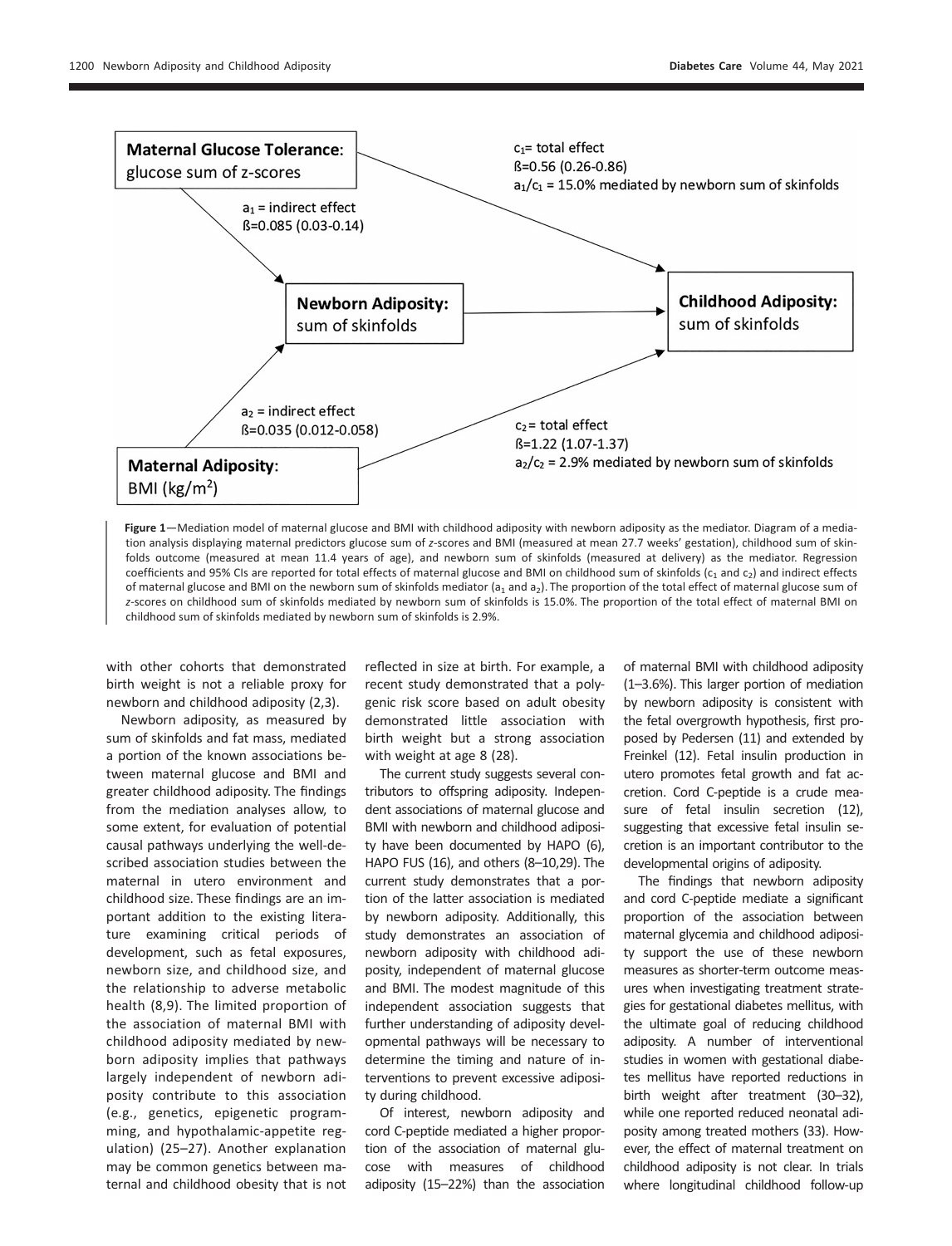

Figure 1—Mediation model of maternal glucose and BMI with childhood adiposity with newborn adiposity as the mediator. Diagram of a mediation analysis displaying maternal predictors glucose sum of z-scores and BMI (measured at mean 27.7 weeks' gestation), childhood sum of skinfolds outcome (measured at mean 11.4 years of age), and newborn sum of skinfolds (measured at delivery) as the mediator. Regression coefficients and 95% CIs are reported for total effects of maternal glucose and BMI on childhood sum of skinfolds ( $c_1$  and  $c_2$ ) and indirect effects of maternal glucose and BMI on the newborn sum of skinfolds mediator ( $a_1$  and  $a_2$ ). The proportion of the total effect of maternal glucose sum of z-scores on childhood sum of skinfolds mediated by newborn sum of skinfolds is 15.0%. The proportion of the total effect of maternal BMI on childhood sum of skinfolds mediated by newborn sum of skinfolds is 2.9%.

with other cohorts that demonstrated birth weight is not a reliable proxy for newborn and childhood adiposity (2,3).

Newborn adiposity, as measured by sum of skinfolds and fat mass, mediated a portion of the known associations between maternal glucose and BMI and greater childhood adiposity. The findings from the mediation analyses allow, to some extent, for evaluation of potential causal pathways underlying the well-described association studies between the maternal in utero environment and childhood size. These findings are an important addition to the existing literature examining critical periods of development, such as fetal exposures, newborn size, and childhood size, and the relationship to adverse metabolic health (8,9). The limited proportion of the association of maternal BMI with childhood adiposity mediated by newborn adiposity implies that pathways largely independent of newborn adiposity contribute to this association (e.g., genetics, epigenetic programming, and hypothalamic-appetite regulation) (25–27). Another explanation may be common genetics between maternal and childhood obesity that is not reflected in size at birth. For example, a recent study demonstrated that a polygenic risk score based on adult obesity demonstrated little association with birth weight but a strong association with weight at age 8 (28).

The current study suggests several contributors to offspring adiposity. Independent associations of maternal glucose and BMI with newborn and childhood adiposity have been documented by HAPO (6), HAPO FUS (16), and others (8–10,29). The current study demonstrates that a portion of the latter association is mediated by newborn adiposity. Additionally, this study demonstrates an association of newborn adiposity with childhood adiposity, independent of maternal glucose and BMI. The modest magnitude of this independent association suggests that further understanding of adiposity developmental pathways will be necessary to determine the timing and nature of interventions to prevent excessive adiposity during childhood.

Of interest, newborn adiposity and cord C-peptide mediated a higher proportion of the association of maternal glucose with measures of childhood adiposity (15–22%) than the association of maternal BMI with childhood adiposity (1–3.6%). This larger portion of mediation by newborn adiposity is consistent with the fetal overgrowth hypothesis, first proposed by Pedersen (11) and extended by Freinkel (12). Fetal insulin production in utero promotes fetal growth and fat accretion. Cord C-peptide is a crude measure of fetal insulin secretion (12), suggesting that excessive fetal insulin secretion is an important contributor to the developmental origins of adiposity.

The findings that newborn adiposity and cord C-peptide mediate a significant proportion of the association between maternal glycemia and childhood adiposity support the use of these newborn measures as shorter-term outcome measures when investigating treatment strategies for gestational diabetes mellitus, with the ultimate goal of reducing childhood adiposity. A number of interventional studies in women with gestational diabetes mellitus have reported reductions in birth weight after treatment (30–32), while one reported reduced neonatal adiposity among treated mothers (33). However, the effect of maternal treatment on childhood adiposity is not clear. In trials where longitudinal childhood follow-up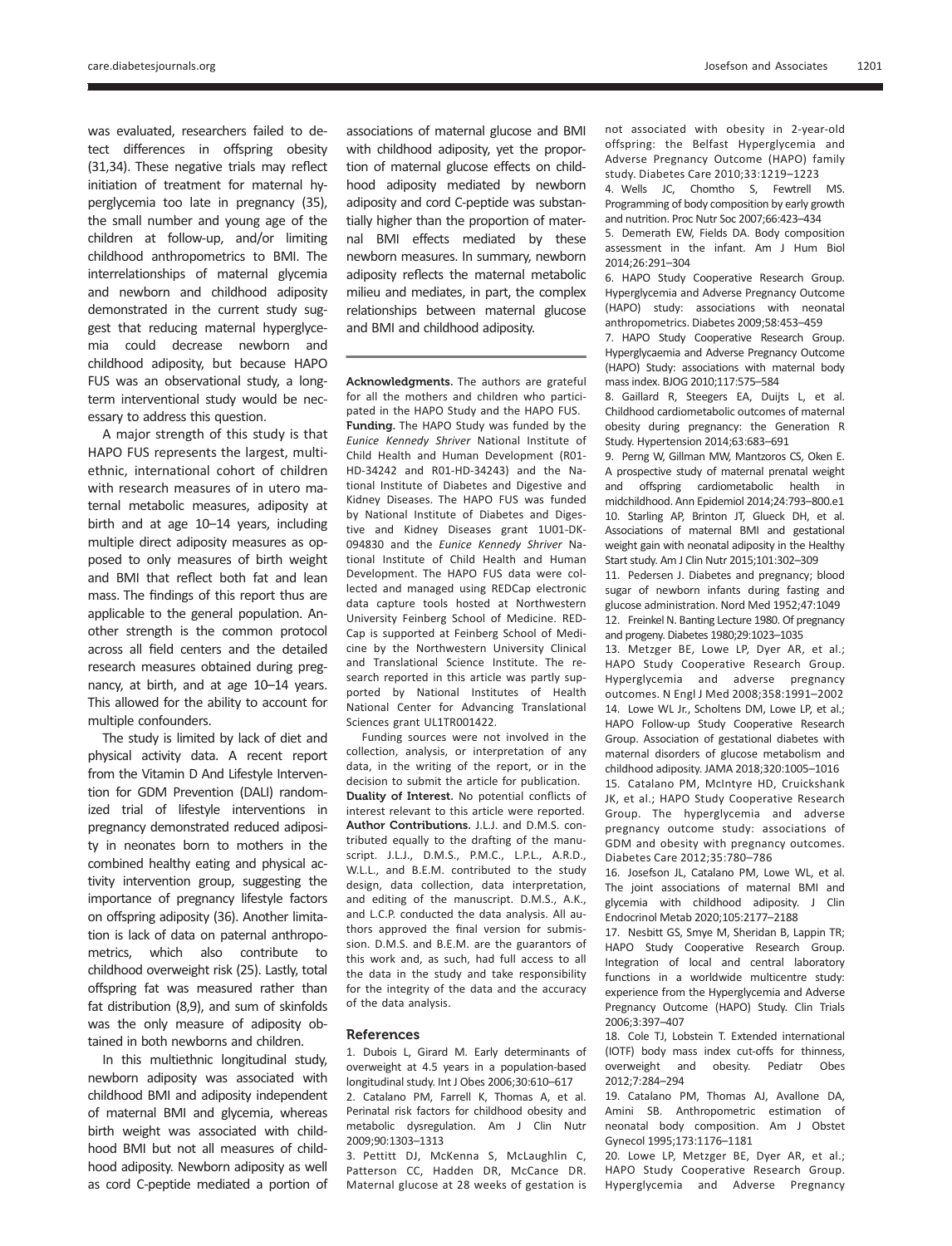was evaluated, researchers failed to detect differences in offspring obesity (31,34). These negative trials may reflect initiation of treatment for maternal hyperglycemia too late in pregnancy (35), the small number and young age of the children at follow-up, and/or limiting childhood anthropometrics to BMI. The interrelationships of maternal glycemia and newborn and childhood adiposity demonstrated in the current study suggest that reducing maternal hyperglycemia could decrease newborn and childhood adiposity, but because HAPO FUS was an observational study, a longterm interventional study would be necessary to address this question.

A major strength of this study is that HAPO FUS represents the largest, multiethnic, international cohort of children with research measures of in utero maternal metabolic measures, adiposity at birth and at age 10–14 years, including multiple direct adiposity measures as opposed to only measures of birth weight and BMI that reflect both fat and lean mass. The findings of this report thus are applicable to the general population. Another strength is the common protocol across all field centers and the detailed research measures obtained during pregnancy, at birth, and at age 10–14 years. This allowed for the ability to account for multiple confounders.

The study is limited by lack of diet and physical activity data. A recent report from the Vitamin D And Lifestyle Intervention for GDM Prevention (DALI) randomized trial of lifestyle interventions in pregnancy demonstrated reduced adiposity in neonates born to mothers in the combined healthy eating and physical activity intervention group, suggesting the importance of pregnancy lifestyle factors on offspring adiposity (36). Another limitation is lack of data on paternal anthropometrics, which also contribute to childhood overweight risk (25). Lastly, total offspring fat was measured rather than fat distribution (8,9), and sum of skinfolds was the only measure of adiposity obtained in both newborns and children.

In this multiethnic longitudinal study, newborn adiposity was associated with childhood BMI and adiposity independent of maternal BMI and glycemia, whereas birth weight was associated with childhood BMI but not all measures of childhood adiposity. Newborn adiposity as well as cord C-peptide mediated a portion of associations of maternal glucose and BMI with childhood adiposity, yet the proportion of maternal glucose effects on childhood adiposity mediated by newborn adiposity and cord C-peptide was substantially higher than the proportion of maternal BMI effects mediated by these newborn measures. In summary, newborn adiposity reflects the maternal metabolic milieu and mediates, in part, the complex relationships between maternal glucose and BMI and childhood adiposity.

Acknowledgments. The authors are grateful for all the mothers and children who participated in the HAPO Study and the HAPO FUS. Funding. The HAPO Study was funded by the Eunice Kennedy Shriver National Institute of Child Health and Human Development (R01- HD-34242 and R01-HD-34243) and the National Institute of Diabetes and Digestive and Kidney Diseases. The HAPO FUS was funded by National Institute of Diabetes and Digestive and Kidney Diseases grant 1U01-DK-094830 and the Eunice Kennedy Shriver National Institute of Child Health and Human Development. The HAPO FUS data were collected and managed using REDCap electronic data capture tools hosted at Northwestern University Feinberg School of Medicine. RED-Cap is supported at Feinberg School of Medicine by the Northwestern University Clinical and Translational Science Institute. The research reported in this article was partly supported by National Institutes of Health National Center for Advancing Translational Sciences grant UL1TR001422.

Funding sources were not involved in the collection, analysis, or interpretation of any data, in the writing of the report, or in the decision to submit the article for publication. Duality of Interest. No potential conflicts of interest relevant to this article were reported. Author Contributions. J.L.J. and D.M.S. contributed equally to the drafting of the manuscript. J.L.J., D.M.S., P.M.C., L.P.L., A.R.D., W.L.L., and B.E.M. contributed to the study design, data collection, data interpretation, and editing of the manuscript. D.M.S., A.K., and L.C.P. conducted the data analysis. All authors approved the final version for submission. D.M.S. and B.E.M. are the guarantors of this work and, as such, had full access to all the data in the study and take responsibility for the integrity of the data and the accuracy of the data analysis.

#### References

1. Dubois L, Girard M. Early determinants of overweight at 4.5 years in a population-based longitudinal study. Int J Obes 2006;30:610–617

2. Catalano PM, Farrell K, Thomas A, et al. Perinatal risk factors for childhood obesity and metabolic dysregulation. Am J Clin Nutr 2009;90:1303–1313

3. Pettitt DJ, McKenna S, McLaughlin C, Patterson CC, Hadden DR, McCance DR. Maternal glucose at 28 weeks of gestation is not associated with obesity in 2-year-old offspring: the Belfast Hyperglycemia and Adverse Pregnancy Outcome (HAPO) family study. Diabetes Care 2010;33:1219–1223

4. Wells JC, Chomtho S, Fewtrell MS. Programming of body composition by early growth and nutrition. Proc Nutr Soc 2007;66:423–434

5. Demerath EW, Fields DA. Body composition assessment in the infant. Am J Hum Biol 2014;26:291–304

6. HAPO Study Cooperative Research Group. Hyperglycemia and Adverse Pregnancy Outcome (HAPO) study: associations with neonatal anthropometrics. Diabetes 2009;58:453–459

7. HAPO Study Cooperative Research Group. Hyperglycaemia and Adverse Pregnancy Outcome (HAPO) Study: associations with maternal body mass index. BJOG 2010;117:575–584

8. Gaillard R, Steegers EA, Duijts L, et al. Childhood cardiometabolic outcomes of maternal obesity during pregnancy: the Generation R Study. Hypertension 2014;63:683–691

9. Perng W, Gillman MW, Mantzoros CS, Oken E. A prospective study of maternal prenatal weight and offspring cardiometabolic health in midchildhood. Ann Epidemiol 2014;24:793–800.e1 10. Starling AP, Brinton JT, Glueck DH, et al. Associations of maternal BMI and gestational weight gain with neonatal adiposity in the Healthy Start study. Am J Clin Nutr 2015;101:302–309

11. Pedersen J. Diabetes and pregnancy; blood sugar of newborn infants during fasting and glucose administration. Nord Med 1952;47:1049 12. Freinkel N. Banting Lecture 1980. Of pregnancy and progeny. Diabetes 1980;29:1023–1035

13. Metzger BE, Lowe LP, Dyer AR, et al.; HAPO Study Cooperative Research Group. Hyperglycemia and adverse pregnancy outcomes. N Engl J Med 2008;358:1991–2002 14. Lowe WL Jr., Scholtens DM, Lowe LP, et al.; HAPO Follow-up Study Cooperative Research Group. Association of gestational diabetes with maternal disorders of glucose metabolism and childhood adiposity. JAMA 2018;320:1005–1016 15. Catalano PM, McIntyre HD, Cruickshank JK, et al.; HAPO Study Cooperative Research Group. The hyperglycemia and adverse pregnancy outcome study: associations of GDM and obesity with pregnancy outcomes. Diabetes Care 2012;35:780–786

16. Josefson JL, Catalano PM, Lowe WL, et al. The joint associations of maternal BMI and glycemia with childhood adiposity. J Clin Endocrinol Metab 2020;105:2177–2188

17. Nesbitt GS, Smye M, Sheridan B, Lappin TR; HAPO Study Cooperative Research Group. Integration of local and central laboratory functions in a worldwide multicentre study: experience from the Hyperglycemia and Adverse Pregnancy Outcome (HAPO) Study. Clin Trials 2006;3:397–407

18. Cole TJ, Lobstein T. Extended international (IOTF) body mass index cut-offs for thinness, overweight and obesity. Pediatr Obes 2012;7:284–294

19. Catalano PM, Thomas AJ, Avallone DA, Amini SB. Anthropometric estimation of neonatal body composition. Am J Obstet Gynecol 1995;173:1176–1181

20. Lowe LP, Metzger BE, Dyer AR, et al.; HAPO Study Cooperative Research Group. Hyperglycemia and Adverse Pregnancy